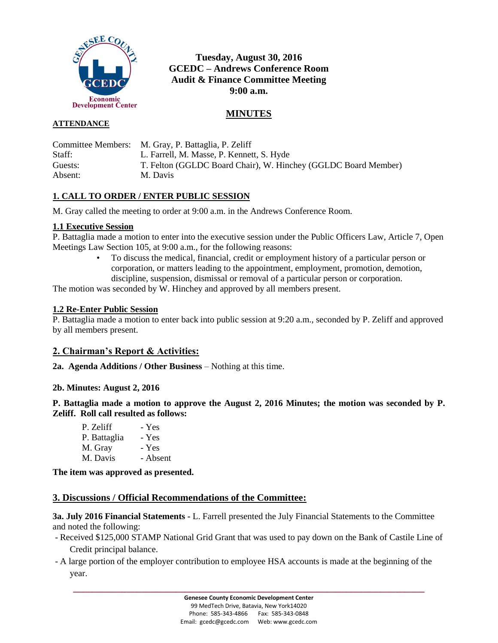

# **Tuesday, August 30, 2016 GCEDC – Andrews Conference Room Audit & Finance Committee Meeting 9:00 a.m.**

# **MINUTES**

### **ATTENDANCE**

|         | Committee Members: M. Gray, P. Battaglia, P. Zeliff            |
|---------|----------------------------------------------------------------|
| Staff:  | L. Farrell, M. Masse, P. Kennett, S. Hyde                      |
| Guests: | T. Felton (GGLDC Board Chair), W. Hinchey (GGLDC Board Member) |
| Absent: | M. Davis                                                       |

# **1. CALL TO ORDER / ENTER PUBLIC SESSION**

M. Gray called the meeting to order at 9:00 a.m. in the Andrews Conference Room.

#### **1.1 Executive Session**

P. Battaglia made a motion to enter into the executive session under the Public Officers Law, Article 7, Open Meetings Law Section 105, at 9:00 a.m., for the following reasons:

> • To discuss the medical, financial, credit or employment history of a particular person or corporation, or matters leading to the appointment, employment, promotion, demotion, discipline, suspension, dismissal or removal of a particular person or corporation.

The motion was seconded by W. Hinchey and approved by all members present.

#### **1.2 Re-Enter Public Session**

P. Battaglia made a motion to enter back into public session at 9:20 a.m., seconded by P. Zeliff and approved by all members present.

# **2. Chairman's Report & Activities:**

**2a. Agenda Additions / Other Business** – Nothing at this time.

# **2b. Minutes: August 2, 2016**

**P. Battaglia made a motion to approve the August 2, 2016 Minutes; the motion was seconded by P. Zeliff. Roll call resulted as follows:**

| P. Zeliff    | - Yes    |
|--------------|----------|
| P. Battaglia | - Yes    |
| M. Gray      | - Yes    |
| M. Davis     | - Absent |

**The item was approved as presented.**

# **3. Discussions / Official Recommendations of the Committee:**

**3a. July 2016 Financial Statements -** L. Farrell presented the July Financial Statements to the Committee and noted the following:

- Received \$125,000 STAMP National Grid Grant that was used to pay down on the Bank of Castile Line of Credit principal balance.
- A large portion of the employer contribution to employee HSA accounts is made at the beginning of the year.

**\_\_\_\_\_\_\_\_\_\_\_\_\_\_\_\_\_\_\_\_\_\_\_\_\_\_\_\_\_\_\_\_\_\_\_\_\_\_\_\_\_\_\_\_\_\_\_\_\_\_\_\_\_\_\_\_\_\_\_\_\_\_\_\_\_\_\_\_\_\_\_\_**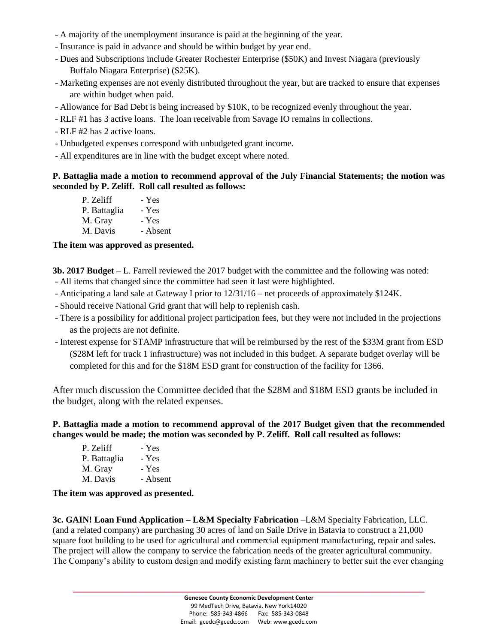- A majority of the unemployment insurance is paid at the beginning of the year.
- Insurance is paid in advance and should be within budget by year end.
- Dues and Subscriptions include Greater Rochester Enterprise (\$50K) and Invest Niagara (previously Buffalo Niagara Enterprise) (\$25K).
- Marketing expenses are not evenly distributed throughout the year, but are tracked to ensure that expenses are within budget when paid.
- Allowance for Bad Debt is being increased by \$10K, to be recognized evenly throughout the year.
- RLF #1 has 3 active loans. The loan receivable from Savage IO remains in collections.
- RLF #2 has 2 active loans.
- Unbudgeted expenses correspond with unbudgeted grant income.
- All expenditures are in line with the budget except where noted.

### **P. Battaglia made a motion to recommend approval of the July Financial Statements; the motion was seconded by P. Zeliff. Roll call resulted as follows:**

| P. Zeliff    | - Yes    |
|--------------|----------|
| P. Battaglia | - Yes    |
| M. Gray      | - Yes    |
| M. Davis     | - Absent |

# **The item was approved as presented.**

**3b. 2017 Budget** – L. Farrell reviewed the 2017 budget with the committee and the following was noted:

- All items that changed since the committee had seen it last were highlighted.
- Anticipating a land sale at Gateway I prior to 12/31/16 net proceeds of approximately \$124K.
- Should receive National Grid grant that will help to replenish cash.
- There is a possibility for additional project participation fees, but they were not included in the projections as the projects are not definite.
- Interest expense for STAMP infrastructure that will be reimbursed by the rest of the \$33M grant from ESD (\$28M left for track 1 infrastructure) was not included in this budget. A separate budget overlay will be completed for this and for the \$18M ESD grant for construction of the facility for 1366.

After much discussion the Committee decided that the \$28M and \$18M ESD grants be included in the budget, along with the related expenses.

**P. Battaglia made a motion to recommend approval of the 2017 Budget given that the recommended changes would be made; the motion was seconded by P. Zeliff. Roll call resulted as follows:**

| P. Zeliff    | - Yes    |
|--------------|----------|
| P. Battaglia | - Yes    |
| M. Gray      | - Yes    |
| M. Davis     | - Absent |

**The item was approved as presented.**

**3c. GAIN! Loan Fund Application – L&M Specialty Fabrication** –L&M Specialty Fabrication, LLC. (and a related company) are purchasing 30 acres of land on Saile Drive in Batavia to construct a 21,000 square foot building to be used for agricultural and commercial equipment manufacturing, repair and sales. The project will allow the company to service the fabrication needs of the greater agricultural community. The Company's ability to custom design and modify existing farm machinery to better suit the ever changing

**\_\_\_\_\_\_\_\_\_\_\_\_\_\_\_\_\_\_\_\_\_\_\_\_\_\_\_\_\_\_\_\_\_\_\_\_\_\_\_\_\_\_\_\_\_\_\_\_\_\_\_\_\_\_\_\_\_\_\_\_\_\_\_\_\_\_\_\_\_\_\_\_**